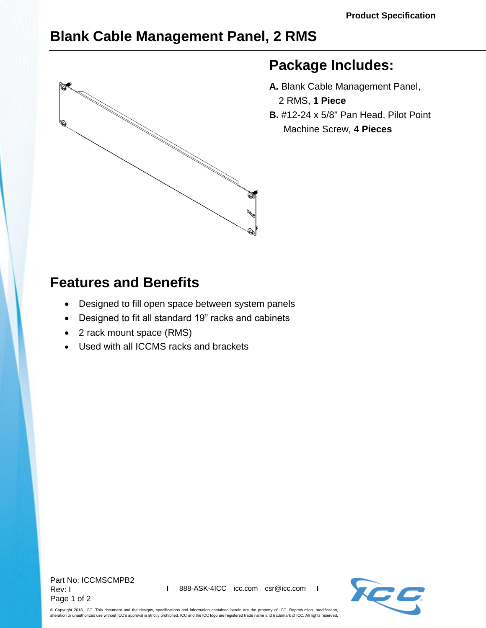## **Blank Cable Management Panel, 2 RMS**



## **Package Includes:**

- **A.** Blank Cable Management Panel, 2 RMS, **1 Piece**
- **B.** #12-24 x 5/8" Pan Head, Pilot Point Machine Screw, **4 Pieces**

## **Features and Benefits**

- Designed to fill open space between system panels
- Designed to fit all standard 19" racks and cabinets
- 2 rack mount space (RMS)
- Used with all ICCMS racks and brackets



© Copyright 2018, ICC. This document and the designs, specifications and information contained herein are the property of ICC. Reproduction, modification, alteration or unauthorized use without ICC's approval is strictly prohibited. ICC and the ICC logo are registered trade name and trademark of ICC. All rights reserved.